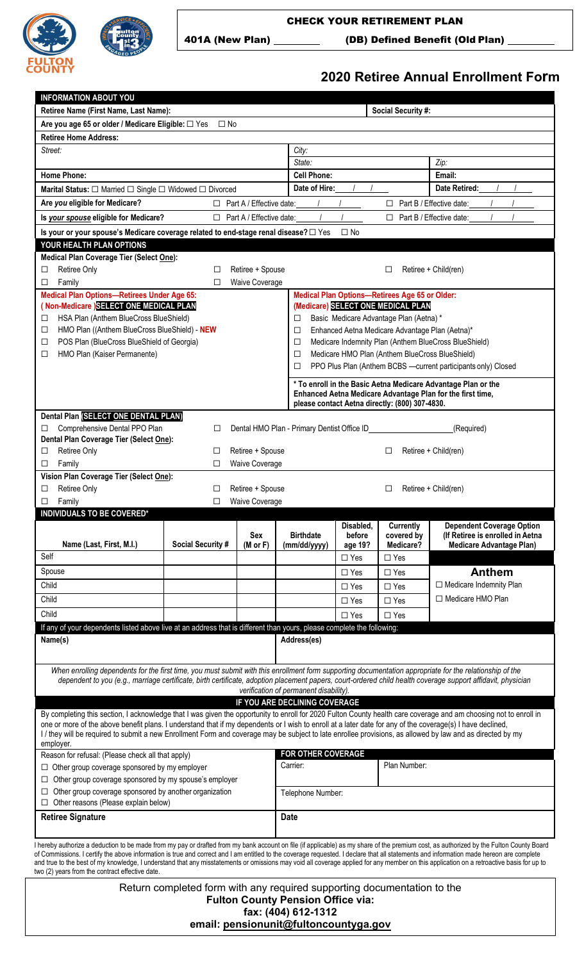



CHECK YOUR RETIREMENT PLAN

401A (New Plan) \_\_\_\_\_\_\_\_\_\_ (DB) Defined Benefit (Old Plan)

## **2020 Retiree Annual Enrollment Form**

| <b>INFORMATION ABOUT YOU</b>                                                                                                                                                                                                                                                                                                                                                                                                                                                                                                                                                                                                      |                                                                         |                                                      |                                                                                                                             |                           |                                                |                                  |  |  |
|-----------------------------------------------------------------------------------------------------------------------------------------------------------------------------------------------------------------------------------------------------------------------------------------------------------------------------------------------------------------------------------------------------------------------------------------------------------------------------------------------------------------------------------------------------------------------------------------------------------------------------------|-------------------------------------------------------------------------|------------------------------------------------------|-----------------------------------------------------------------------------------------------------------------------------|---------------------------|------------------------------------------------|----------------------------------|--|--|
| Retiree Name (First Name, Last Name):                                                                                                                                                                                                                                                                                                                                                                                                                                                                                                                                                                                             |                                                                         |                                                      |                                                                                                                             |                           | <b>Social Security #:</b>                      |                                  |  |  |
| Are you age 65 or older / Medicare Eligible: □ Yes                                                                                                                                                                                                                                                                                                                                                                                                                                                                                                                                                                                | $\Box$ No                                                               |                                                      |                                                                                                                             |                           |                                                |                                  |  |  |
| <b>Retiree Home Address:</b>                                                                                                                                                                                                                                                                                                                                                                                                                                                                                                                                                                                                      |                                                                         |                                                      |                                                                                                                             |                           |                                                |                                  |  |  |
| Street:                                                                                                                                                                                                                                                                                                                                                                                                                                                                                                                                                                                                                           |                                                                         |                                                      | City:                                                                                                                       |                           |                                                |                                  |  |  |
|                                                                                                                                                                                                                                                                                                                                                                                                                                                                                                                                                                                                                                   |                                                                         |                                                      | State:                                                                                                                      |                           |                                                | Zip:                             |  |  |
| <b>Home Phone:</b>                                                                                                                                                                                                                                                                                                                                                                                                                                                                                                                                                                                                                |                                                                         |                                                      | <b>Cell Phone:</b>                                                                                                          |                           |                                                | Email:                           |  |  |
| Marital Status: $\Box$ Married $\Box$ Single $\Box$ Widowed $\Box$ Divorced                                                                                                                                                                                                                                                                                                                                                                                                                                                                                                                                                       |                                                                         |                                                      | Date of Hire:                                                                                                               |                           |                                                | Date Retired:                    |  |  |
| Are you eligible for Medicare?                                                                                                                                                                                                                                                                                                                                                                                                                                                                                                                                                                                                    |                                                                         | $\Box$ Part A / Effective date:                      |                                                                                                                             |                           | $\Box$                                         | Part B / Effective date:         |  |  |
| Is your spouse eligible for Medicare?                                                                                                                                                                                                                                                                                                                                                                                                                                                                                                                                                                                             |                                                                         | $\Box$ Part A / Effective date:                      |                                                                                                                             |                           | $\Box$ Part B / Effective date:                |                                  |  |  |
| Is your or your spouse's Medicare coverage related to end-stage renal disease? $\square$ Yes                                                                                                                                                                                                                                                                                                                                                                                                                                                                                                                                      |                                                                         |                                                      |                                                                                                                             | $\Box$ No                 |                                                |                                  |  |  |
| YOUR HEALTH PLAN OPTIONS                                                                                                                                                                                                                                                                                                                                                                                                                                                                                                                                                                                                          |                                                                         |                                                      |                                                                                                                             |                           |                                                |                                  |  |  |
| Medical Plan Coverage Tier (Select One):                                                                                                                                                                                                                                                                                                                                                                                                                                                                                                                                                                                          |                                                                         |                                                      |                                                                                                                             |                           |                                                |                                  |  |  |
| Retiree Only<br>□                                                                                                                                                                                                                                                                                                                                                                                                                                                                                                                                                                                                                 | □                                                                       | Retiree + Spouse                                     |                                                                                                                             | Retiree + Child(ren)<br>П |                                                |                                  |  |  |
| Family<br>□                                                                                                                                                                                                                                                                                                                                                                                                                                                                                                                                                                                                                       | □                                                                       | <b>Waive Coverage</b>                                |                                                                                                                             |                           |                                                |                                  |  |  |
| <b>Medical Plan Options-Retirees Under Age 65:</b>                                                                                                                                                                                                                                                                                                                                                                                                                                                                                                                                                                                |                                                                         |                                                      |                                                                                                                             |                           | Medical Plan Options-Retirees Age 65 or Older: |                                  |  |  |
| (Non-Medicare) SELECT ONE MEDICAL PLAN<br>HSA Plan (Anthem BlueCross BlueShield)                                                                                                                                                                                                                                                                                                                                                                                                                                                                                                                                                  |                                                                         |                                                      |                                                                                                                             |                           | (Medicare) SELECT ONE MEDICAL PLAN             |                                  |  |  |
| □<br>HMO Plan ((Anthem BlueCross BlueShield) - NEW<br>□                                                                                                                                                                                                                                                                                                                                                                                                                                                                                                                                                                           |                                                                         |                                                      | Basic Medicare Advantage Plan (Aetna) *<br>□<br>Enhanced Aetna Medicare Advantage Plan (Aetna)*<br>□                        |                           |                                                |                                  |  |  |
| POS Plan (BlueCross BlueShield of Georgia)<br>□                                                                                                                                                                                                                                                                                                                                                                                                                                                                                                                                                                                   |                                                                         |                                                      | Medicare Indemnity Plan (Anthem BlueCross BlueShield)<br>□                                                                  |                           |                                                |                                  |  |  |
| HMO Plan (Kaiser Permanente)<br>□                                                                                                                                                                                                                                                                                                                                                                                                                                                                                                                                                                                                 |                                                                         | Medicare HMO Plan (Anthem BlueCross BlueShield)<br>□ |                                                                                                                             |                           |                                                |                                  |  |  |
|                                                                                                                                                                                                                                                                                                                                                                                                                                                                                                                                                                                                                                   |                                                                         |                                                      | PPO Plus Plan (Anthem BCBS - current participants only) Closed<br>□                                                         |                           |                                                |                                  |  |  |
|                                                                                                                                                                                                                                                                                                                                                                                                                                                                                                                                                                                                                                   |                                                                         |                                                      |                                                                                                                             |                           |                                                |                                  |  |  |
|                                                                                                                                                                                                                                                                                                                                                                                                                                                                                                                                                                                                                                   |                                                                         |                                                      | * To enroll in the Basic Aetna Medicare Advantage Plan or the<br>Enhanced Aetna Medicare Advantage Plan for the first time, |                           |                                                |                                  |  |  |
|                                                                                                                                                                                                                                                                                                                                                                                                                                                                                                                                                                                                                                   |                                                                         |                                                      |                                                                                                                             |                           | please contact Aetna directly: (800) 307-4830. |                                  |  |  |
| Dental Plan (SELECT ONE DENTAL PLAN)                                                                                                                                                                                                                                                                                                                                                                                                                                                                                                                                                                                              |                                                                         |                                                      |                                                                                                                             |                           |                                                |                                  |  |  |
| Comprehensive Dental PPO Plan<br>□                                                                                                                                                                                                                                                                                                                                                                                                                                                                                                                                                                                                | $\Box$                                                                  |                                                      | Dental HMO Plan - Primary Dentist Office ID_                                                                                |                           |                                                | (Required)                       |  |  |
| Dental Plan Coverage Tier (Select One):                                                                                                                                                                                                                                                                                                                                                                                                                                                                                                                                                                                           |                                                                         |                                                      |                                                                                                                             |                           |                                                |                                  |  |  |
| Retiree Only<br>□                                                                                                                                                                                                                                                                                                                                                                                                                                                                                                                                                                                                                 | □                                                                       | Retiree + Spouse                                     |                                                                                                                             |                           | □                                              | Retiree + Child(ren)             |  |  |
| Family<br>□                                                                                                                                                                                                                                                                                                                                                                                                                                                                                                                                                                                                                       | □                                                                       | <b>Waive Coverage</b>                                |                                                                                                                             |                           |                                                |                                  |  |  |
| Vision Plan Coverage Tier (Select One):<br>Retiree Only<br>□                                                                                                                                                                                                                                                                                                                                                                                                                                                                                                                                                                      | □                                                                       | Retiree + Spouse                                     |                                                                                                                             |                           | □                                              | Retiree + Child(ren)             |  |  |
| Family<br>□                                                                                                                                                                                                                                                                                                                                                                                                                                                                                                                                                                                                                       | □                                                                       | <b>Waive Coverage</b>                                |                                                                                                                             |                           |                                                |                                  |  |  |
|                                                                                                                                                                                                                                                                                                                                                                                                                                                                                                                                                                                                                                   |                                                                         |                                                      |                                                                                                                             |                           |                                                |                                  |  |  |
|                                                                                                                                                                                                                                                                                                                                                                                                                                                                                                                                                                                                                                   |                                                                         |                                                      |                                                                                                                             |                           |                                                |                                  |  |  |
| INDIVIDUALS TO BE COVERED*                                                                                                                                                                                                                                                                                                                                                                                                                                                                                                                                                                                                        |                                                                         |                                                      |                                                                                                                             | Disabled,                 | <b>Currently</b>                               | <b>Dependent Coverage Option</b> |  |  |
|                                                                                                                                                                                                                                                                                                                                                                                                                                                                                                                                                                                                                                   |                                                                         | <b>Sex</b>                                           | <b>Birthdate</b>                                                                                                            | before                    | covered by                                     | (If Retiree is enrolled in Aetna |  |  |
| Name (Last, First, M.I.)                                                                                                                                                                                                                                                                                                                                                                                                                                                                                                                                                                                                          | <b>Social Security #</b>                                                | $(M$ or $F)$                                         | (mm/dd/yyyy)                                                                                                                | age 19?                   | Medicare?                                      | <b>Medicare Advantage Plan)</b>  |  |  |
| Self                                                                                                                                                                                                                                                                                                                                                                                                                                                                                                                                                                                                                              |                                                                         |                                                      |                                                                                                                             | $\Box$ Yes                | $\Box$ Yes                                     |                                  |  |  |
| Spouse                                                                                                                                                                                                                                                                                                                                                                                                                                                                                                                                                                                                                            |                                                                         |                                                      |                                                                                                                             | $\Box$ Yes                | $\Box$ Yes                                     | <b>Anthem</b>                    |  |  |
| Child                                                                                                                                                                                                                                                                                                                                                                                                                                                                                                                                                                                                                             |                                                                         |                                                      |                                                                                                                             | $\Box$ Yes                | $\Box$ Yes                                     | $\Box$ Medicare Indemnity Plan   |  |  |
| Child                                                                                                                                                                                                                                                                                                                                                                                                                                                                                                                                                                                                                             |                                                                         |                                                      |                                                                                                                             | $\Box$ Yes                | $\Box$ Yes                                     | □ Medicare HMO Plan              |  |  |
| Child                                                                                                                                                                                                                                                                                                                                                                                                                                                                                                                                                                                                                             |                                                                         |                                                      |                                                                                                                             | $\Box$ Yes                | $\Box$ Yes                                     |                                  |  |  |
| If any of your dependents listed above live at an address that is different than yours, please complete the following:                                                                                                                                                                                                                                                                                                                                                                                                                                                                                                            |                                                                         |                                                      |                                                                                                                             |                           |                                                |                                  |  |  |
| Name(s)                                                                                                                                                                                                                                                                                                                                                                                                                                                                                                                                                                                                                           |                                                                         |                                                      | Address(es)                                                                                                                 |                           |                                                |                                  |  |  |
|                                                                                                                                                                                                                                                                                                                                                                                                                                                                                                                                                                                                                                   |                                                                         |                                                      |                                                                                                                             |                           |                                                |                                  |  |  |
|                                                                                                                                                                                                                                                                                                                                                                                                                                                                                                                                                                                                                                   |                                                                         |                                                      |                                                                                                                             |                           |                                                |                                  |  |  |
| When enrolling dependents for the first time, you must submit with this enrollment form supporting documentation appropriate for the relationship of the<br>dependent to you (e.g., marriage certificate, birth certificate, adoption placement papers, court-ordered child health coverage support affidavit, physician                                                                                                                                                                                                                                                                                                          |                                                                         |                                                      |                                                                                                                             |                           |                                                |                                  |  |  |
|                                                                                                                                                                                                                                                                                                                                                                                                                                                                                                                                                                                                                                   |                                                                         |                                                      | verification of permanent disability).                                                                                      |                           |                                                |                                  |  |  |
|                                                                                                                                                                                                                                                                                                                                                                                                                                                                                                                                                                                                                                   |                                                                         |                                                      | IF YOU ARE DECLINING COVERAGE                                                                                               |                           |                                                |                                  |  |  |
| By completing this section, I acknowledge that I was given the opportunity to enroll for 2020 Fulton County health care coverage and am choosing not to enroll in                                                                                                                                                                                                                                                                                                                                                                                                                                                                 |                                                                         |                                                      |                                                                                                                             |                           |                                                |                                  |  |  |
| one or more of the above benefit plans. I understand that if my dependents or I wish to enroll at a later date for any of the coverage(s) I have declined,<br>I / they will be required to submit a new Enrollment Form and coverage may be subject to late enrollee provisions, as allowed by law and as directed by my                                                                                                                                                                                                                                                                                                          |                                                                         |                                                      |                                                                                                                             |                           |                                                |                                  |  |  |
| employer.                                                                                                                                                                                                                                                                                                                                                                                                                                                                                                                                                                                                                         |                                                                         |                                                      |                                                                                                                             |                           |                                                |                                  |  |  |
| Reason for refusal: (Please check all that apply)                                                                                                                                                                                                                                                                                                                                                                                                                                                                                                                                                                                 |                                                                         |                                                      | FOR OTHER COVERAGE                                                                                                          |                           |                                                |                                  |  |  |
| □ Other group coverage sponsored by my employer                                                                                                                                                                                                                                                                                                                                                                                                                                                                                                                                                                                   |                                                                         |                                                      | Carrier:                                                                                                                    |                           | Plan Number:                                   |                                  |  |  |
| Other group coverage sponsored by my spouse's employer                                                                                                                                                                                                                                                                                                                                                                                                                                                                                                                                                                            |                                                                         |                                                      |                                                                                                                             |                           |                                                |                                  |  |  |
| Other group coverage sponsored by another organization                                                                                                                                                                                                                                                                                                                                                                                                                                                                                                                                                                            |                                                                         |                                                      | Telephone Number:                                                                                                           |                           |                                                |                                  |  |  |
| Other reasons (Please explain below)<br>□                                                                                                                                                                                                                                                                                                                                                                                                                                                                                                                                                                                         |                                                                         |                                                      |                                                                                                                             |                           |                                                |                                  |  |  |
| <b>Retiree Signature</b>                                                                                                                                                                                                                                                                                                                                                                                                                                                                                                                                                                                                          |                                                                         |                                                      | <b>Date</b>                                                                                                                 |                           |                                                |                                  |  |  |
|                                                                                                                                                                                                                                                                                                                                                                                                                                                                                                                                                                                                                                   |                                                                         |                                                      |                                                                                                                             |                           |                                                |                                  |  |  |
|                                                                                                                                                                                                                                                                                                                                                                                                                                                                                                                                                                                                                                   |                                                                         |                                                      |                                                                                                                             |                           |                                                |                                  |  |  |
|                                                                                                                                                                                                                                                                                                                                                                                                                                                                                                                                                                                                                                   |                                                                         |                                                      |                                                                                                                             |                           |                                                |                                  |  |  |
| I hereby authorize a deduction to be made from my pay or drafted from my bank account on file (if applicable) as my share of the premium cost, as authorized by the Fulton County Board<br>of Commissions. I certify the above information is true and correct and I am entitled to the coverage requested. I declare that all statements and information made hereon are complete<br>and true to the best of my knowledge, I understand that any misstatements or omissions may void all coverage applied for any member on this application on a retroactive basis for up to<br>two (2) years from the contract effective date. |                                                                         |                                                      |                                                                                                                             |                           |                                                |                                  |  |  |
|                                                                                                                                                                                                                                                                                                                                                                                                                                                                                                                                                                                                                                   | Return completed form with any required supporting documentation to the |                                                      |                                                                                                                             |                           |                                                |                                  |  |  |
|                                                                                                                                                                                                                                                                                                                                                                                                                                                                                                                                                                                                                                   |                                                                         |                                                      | <b>Fulton County Pension Office via:</b><br>fax: (404) 612-1312                                                             |                           |                                                |                                  |  |  |

**email: pensionunit@fultoncountyga.gov**